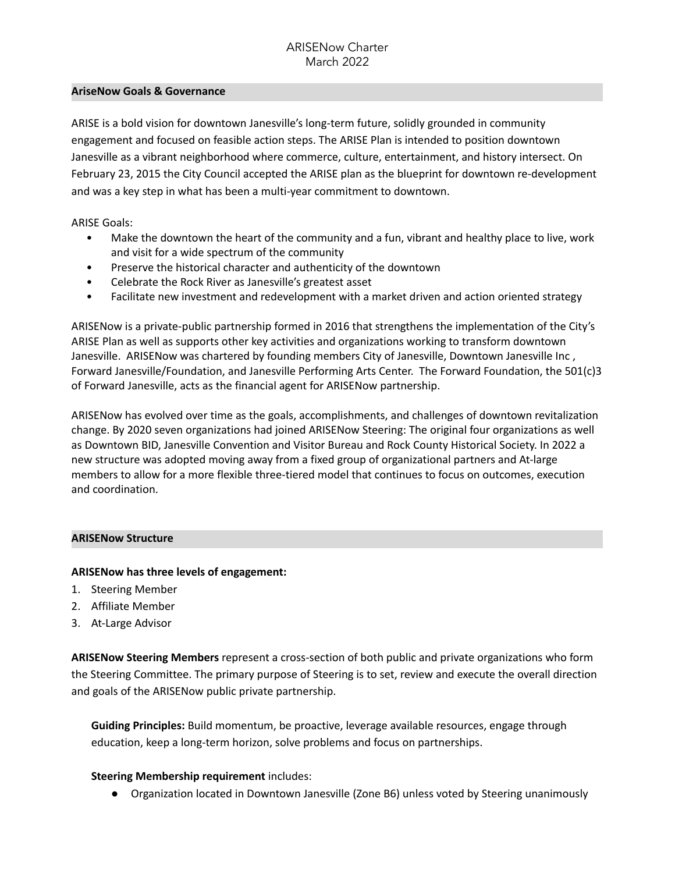#### **AriseNow Goals & Governance**

ARISE is a bold vision for downtown Janesville's long-term future, solidly grounded in community engagement and focused on feasible action steps. The ARISE Plan is intended to position downtown Janesville as a vibrant neighborhood where commerce, culture, entertainment, and history intersect. On February 23, 2015 the City Council accepted the ARISE plan as the blueprint for downtown re-development and was a key step in what has been a multi-year commitment to downtown.

ARISE Goals:

- Make the downtown the heart of the community and a fun, vibrant and healthy place to live, work and visit for a wide spectrum of the community
- Preserve the historical character and authenticity of the downtown
- Celebrate the Rock River as Janesville's greatest asset
- Facilitate new investment and redevelopment with a market driven and action oriented strategy

ARISENow is a private-public partnership formed in 2016 that strengthens the implementation of the City's ARISE Plan as well as supports other key activities and organizations working to transform downtown Janesville. ARISENow was chartered by founding members City of Janesville, Downtown Janesville Inc , Forward Janesville/Foundation, and Janesville Performing Arts Center. The Forward Foundation, the 501(c)3 of Forward Janesville, acts as the financial agent for ARISENow partnership.

ARISENow has evolved over time as the goals, accomplishments, and challenges of downtown revitalization change. By 2020 seven organizations had joined ARISENow Steering: The original four organizations as well as Downtown BID, Janesville Convention and Visitor Bureau and Rock County Historical Society. In 2022 a new structure was adopted moving away from a fixed group of organizational partners and At-large members to allow for a more flexible three-tiered model that continues to focus on outcomes, execution and coordination.

### **ARISENow Structure**

### **ARISENow has three levels of engagement:**

- 1. Steering Member
- 2. Affiliate Member
- 3. At-Large Advisor

**ARISENow Steering Members** represent a cross-section of both public and private organizations who form the Steering Committee. The primary purpose of Steering is to set, review and execute the overall direction and goals of the ARISENow public private partnership.

**Guiding Principles:** Build momentum, be proactive, leverage available resources, engage through education, keep a long-term horizon, solve problems and focus on partnerships.

## **Steering Membership requirement** includes:

Organization located in Downtown Janesville (Zone B6) unless voted by Steering unanimously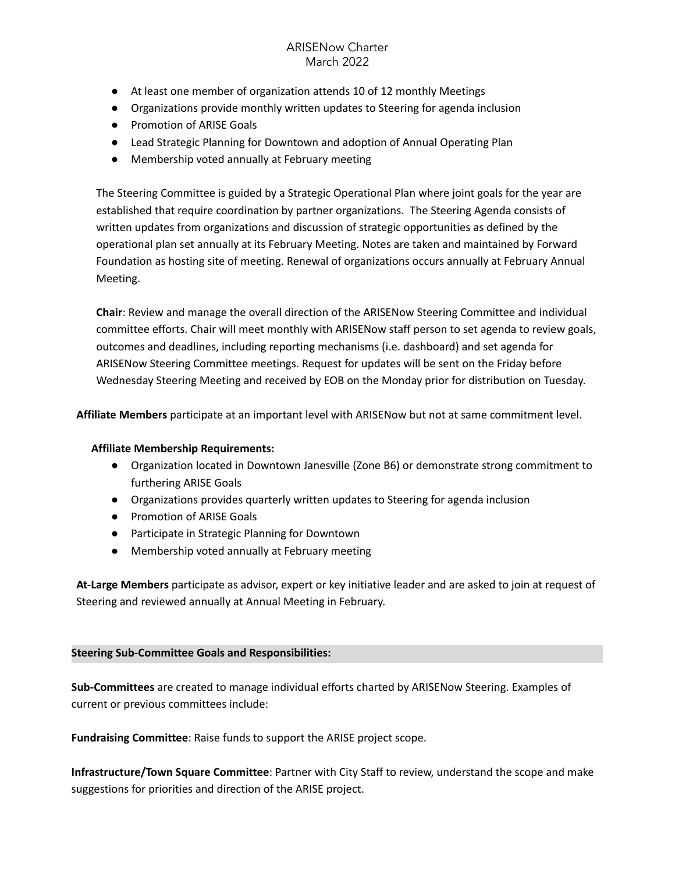# ARISENow Charter March 2022

- At least one member of organization attends 10 of 12 monthly Meetings
- Organizations provide monthly written updates to Steering for agenda inclusion
- Promotion of ARISE Goals
- Lead Strategic Planning for Downtown and adoption of Annual Operating Plan
- Membership voted annually at February meeting

The Steering Committee is guided by a Strategic Operational Plan where joint goals for the year are established that require coordination by partner organizations. The Steering Agenda consists of written updates from organizations and discussion of strategic opportunities as defined by the operational plan set annually at its February Meeting. Notes are taken and maintained by Forward Foundation as hosting site of meeting. Renewal of organizations occurs annually at February Annual Meeting.

**Chair**: Review and manage the overall direction of the ARISENow Steering Committee and individual committee efforts. Chair will meet monthly with ARISENow staff person to set agenda to review goals, outcomes and deadlines, including reporting mechanisms (i.e. dashboard) and set agenda for ARISENow Steering Committee meetings. Request for updates will be sent on the Friday before Wednesday Steering Meeting and received by EOB on the Monday prior for distribution on Tuesday.

**Affiliate Members** participate at an important level with ARISENow but not at same commitment level.

#### **Affiliate Membership Requirements:**

- Organization located in Downtown Janesville (Zone B6) or demonstrate strong commitment to furthering ARISE Goals
- Organizations provides quarterly written updates to Steering for agenda inclusion
- Promotion of ARISE Goals
- Participate in Strategic Planning for Downtown
- Membership voted annually at February meeting

**At-Large Members** participate as advisor, expert or key initiative leader and are asked to join at request of Steering and reviewed annually at Annual Meeting in February.

### **Steering Sub-Committee Goals and Responsibilities:**

**Sub-Committees** are created to manage individual efforts charted by ARISENow Steering. Examples of current or previous committees include:

**Fundraising Committee**: Raise funds to support the ARISE project scope.

**Infrastructure/Town Square Committee**: Partner with City Staff to review, understand the scope and make suggestions for priorities and direction of the ARISE project.